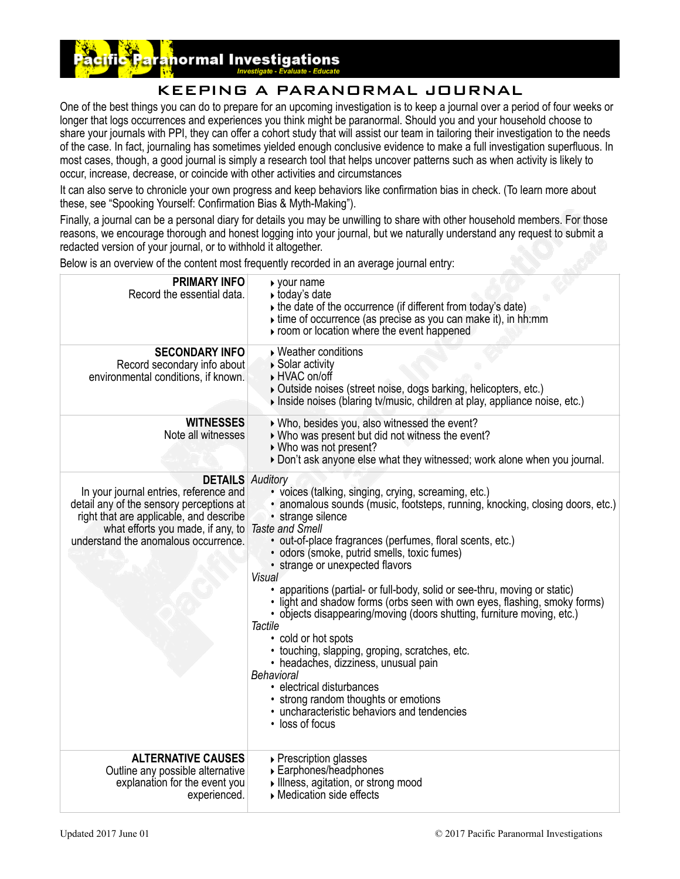# normal Investigations

## KEEPING A PARANORMAL JOURNAL

One of the best things you can do to prepare for an upcoming investigation is to keep a journal over a period of four weeks or longer that logs occurrences and experiences you think might be paranormal. Should you and your household choose to share your journals with PPI, they can offer a cohort study that will assist our team in tailoring their investigation to the needs of the case. In fact, journaling has sometimes yielded enough conclusive evidence to make a full investigation superfluous. In most cases, though, a good journal is simply a research tool that helps uncover patterns such as when activity is likely to occur, increase, decrease, or coincide with other activities and circumstances

It can also serve to chronicle your own progress and keep behaviors like confirmation bias in check. (To learn more about these, see ["Spooking Yourself: Confirmation Bias & Myth-Making](http://localhost:8888/ppi/index.php?option=com_content&view=article&id=152:article-spooked-confirmation-bias&catid=93:category-articles-essays)").

Finally, a journal can be a personal diary for details you may be unwilling to share with other household members. For those reasons, we encourage thorough and honest logging into your journal, but we naturally understand any request to submit a redacted version of your journal, or to withhold it altogether.

Below is an overview of the content most frequently recorded in an average journal entry:

| <b>PRIMARY INFO</b><br>Record the essential data.                                                                                                                                                                                     | ▶ your name<br>▶ today's date<br>▶ the date of the occurrence (if different from today's date)<br>$\triangleright$ time of occurrence (as precise as you can make it), in hh:mm<br>proom or location where the event happened                                                                                                                                                                                                                                                                                                                                                                                                                                                                                                                                                                                                                                              |
|---------------------------------------------------------------------------------------------------------------------------------------------------------------------------------------------------------------------------------------|----------------------------------------------------------------------------------------------------------------------------------------------------------------------------------------------------------------------------------------------------------------------------------------------------------------------------------------------------------------------------------------------------------------------------------------------------------------------------------------------------------------------------------------------------------------------------------------------------------------------------------------------------------------------------------------------------------------------------------------------------------------------------------------------------------------------------------------------------------------------------|
| <b>SECONDARY INFO</b><br>Record secondary info about<br>environmental conditions, if known.                                                                                                                                           | ▶ Weather conditions<br>▶ Solar activity<br>▶ HVAC on/off<br>Outside noises (street noise, dogs barking, helicopters, etc.)<br>Inside noises (blaring tv/music, children at play, appliance noise, etc.)                                                                                                                                                                                                                                                                                                                                                                                                                                                                                                                                                                                                                                                                   |
| <b>WITNESSES</b><br>Note all witnesses                                                                                                                                                                                                | ▶ Who, besides you, also witnessed the event?<br>▶ Who was present but did not witness the event?<br>▶ Who was not present?<br>Don't ask anyone else what they witnessed; work alone when you journal.                                                                                                                                                                                                                                                                                                                                                                                                                                                                                                                                                                                                                                                                     |
| <b>DETAILS</b> Auditory<br>In your journal entries, reference and<br>detail any of the sensory perceptions at<br>right that are applicable, and describe<br>what efforts you made, if any, to<br>understand the anomalous occurrence. | · voices (talking, singing, crying, screaming, etc.)<br>· anomalous sounds (music, footsteps, running, knocking, closing doors, etc.)<br>· strange silence<br><b>Taste and Smell</b><br>· out-of-place fragrances (perfumes, floral scents, etc.)<br>· odors (smoke, putrid smells, toxic fumes)<br>• strange or unexpected flavors<br>Visual<br>• apparitions (partial- or full-body, solid or see-thru, moving or static)<br>. light and shadow forms (orbs seen with own eyes, flashing, smoky forms)<br>• objects disappearing/moving (doors shutting, furniture moving, etc.)<br><b>Tactile</b><br>• cold or hot spots<br>• touching, slapping, groping, scratches, etc.<br>• headaches, dizziness, unusual pain<br>Behavioral<br>· electrical disturbances<br>• strong random thoughts or emotions<br>• uncharacteristic behaviors and tendencies<br>• loss of focus |
| <b>ALTERNATIVE CAUSES</b><br>Outline any possible alternative<br>explanation for the event you<br>experienced.                                                                                                                        | ▶ Prescription glasses<br>▶ Earphones/headphones<br>Illness, agitation, or strong mood<br>▶ Medication side effects                                                                                                                                                                                                                                                                                                                                                                                                                                                                                                                                                                                                                                                                                                                                                        |